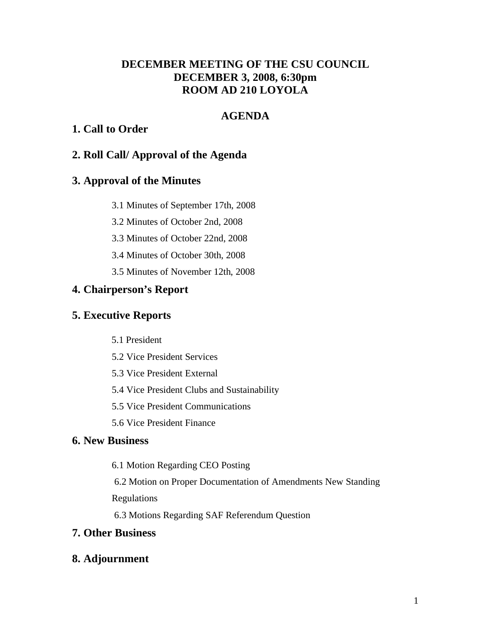# **DECEMBER MEETING OF THE CSU COUNCIL DECEMBER 3, 2008, 6:30pm ROOM AD 210 LOYOLA**

# **AGENDA**

# **1. Call to Order**

# **2. Roll Call/ Approval of the Agenda**

# **3. Approval of the Minutes**

- 3.1 Minutes of September 17th, 2008
- 3.2 Minutes of October 2nd, 2008
- 3.3 Minutes of October 22nd, 2008
- 3.4 Minutes of October 30th, 2008
- 3.5 Minutes of November 12th, 2008

# **4. Chairperson's Report**

# **5. Executive Reports**

- 5.1 President
- 5.2 Vice President Services
- 5.3 Vice President External
- 5.4 Vice President Clubs and Sustainability
- 5.5 Vice President Communications
- 5.6 Vice President Finance

# **6. New Business**

- 6.1 Motion Regarding CEO Posting
- 6.2 Motion on Proper Documentation of Amendments New Standing Regulations
- 6.3 Motions Regarding SAF Referendum Question

# **7. Other Business**

# **8. Adjournment**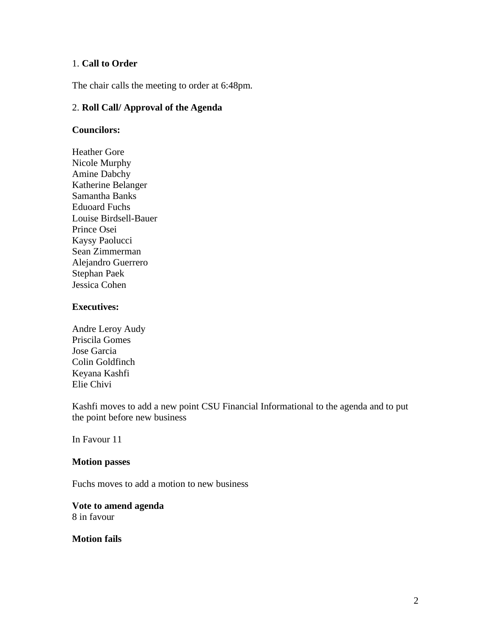## 1. **Call to Order**

The chair calls the meeting to order at 6:48pm.

#### 2. **Roll Call/ Approval of the Agenda**

#### **Councilors:**

Heather Gore Nicole Murphy Amine Dabchy Katherine Belanger Samantha Banks Eduoard Fuchs Louise Birdsell-Bauer Prince Osei Kaysy Paolucci Sean Zimmerman Alejandro Guerrero Stephan Paek Jessica Cohen

#### **Executives:**

Andre Leroy Audy Priscila Gomes Jose Garcia Colin Goldfinch Keyana Kashfi Elie Chivi

Kashfi moves to add a new point CSU Financial Informational to the agenda and to put the point before new business

In Favour 11

#### **Motion passes**

Fuchs moves to add a motion to new business

# **Vote to amend agenda**

8 in favour

**Motion fails**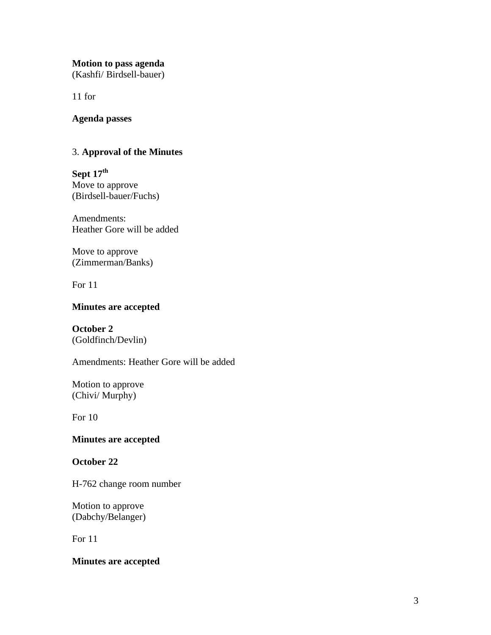# **Motion to pass agenda**

(Kashfi/ Birdsell-bauer)

11 for

## **Agenda passes**

# 3. **Approval of the Minutes**

**Sept 17th** Move to approve (Birdsell-bauer/Fuchs)

Amendments: Heather Gore will be added

Move to approve (Zimmerman/Banks)

For 11

# **Minutes are accepted**

**October 2**  (Goldfinch/Devlin)

Amendments: Heather Gore will be added

Motion to approve (Chivi/ Murphy)

For 10

# **Minutes are accepted**

# **October 22**

H-762 change room number

Motion to approve (Dabchy/Belanger)

For 11

## **Minutes are accepted**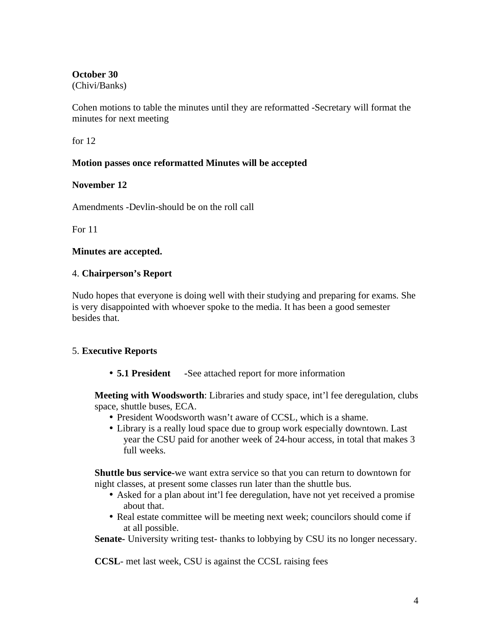# **October 30**

(Chivi/Banks)

Cohen motions to table the minutes until they are reformatted -Secretary will format the minutes for next meeting

for 12

# **Motion passes once reformatted Minutes will be accepted**

# **November 12**

Amendments -Devlin-should be on the roll call

For 11

# **Minutes are accepted.**

# 4. **Chairperson's Report**

Nudo hopes that everyone is doing well with their studying and preparing for exams. She is very disappointed with whoever spoke to the media. It has been a good semester besides that.

# 5. **Executive Reports**

• **5.1 President -**See attached report for more information

**Meeting with Woodsworth**: Libraries and study space, int'l fee deregulation, clubs space, shuttle buses, ECA.

- President Woodsworth wasn't aware of CCSL, which is a shame.
- Library is a really loud space due to group work especially downtown. Last year the CSU paid for another week of 24-hour access, in total that makes 3 full weeks.

**Shuttle bus service-**we want extra service so that you can return to downtown for night classes, at present some classes run later than the shuttle bus.

- Asked for a plan about int'l fee deregulation, have not yet received a promise about that.
- Real estate committee will be meeting next week; councilors should come if at all possible.

**Senate-** University writing test- thanks to lobbying by CSU its no longer necessary.

**CCSL**- met last week, CSU is against the CCSL raising fees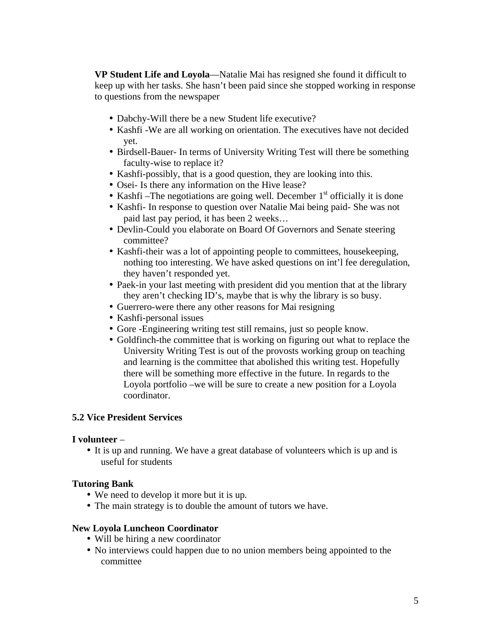**VP Student Life and Loyola**—Natalie Mai has resigned she found it difficult to keep up with her tasks. She hasn't been paid since she stopped working in response to questions from the newspaper

- Dabchy-Will there be a new Student life executive?
- Kashfi -We are all working on orientation. The executives have not decided yet.
- Birdsell-Bauer- In terms of University Writing Test will there be something faculty-wise to replace it?
- Kashfi-possibly, that is a good question, they are looking into this.
- Osei- Is there any information on the Hive lease?
- Kashfi –The negotiations are going well. December  $1<sup>st</sup>$  officially it is done
- Kashfi- In response to question over Natalie Mai being paid- She was not paid last pay period, it has been 2 weeks…
- Devlin-Could you elaborate on Board Of Governors and Senate steering committee?
- Kashfi-their was a lot of appointing people to committees, housekeeping, nothing too interesting. We have asked questions on int'l fee deregulation, they haven't responded yet.
- Paek-in your last meeting with president did you mention that at the library they aren't checking ID's, maybe that is why the library is so busy.
- Guerrero-were there any other reasons for Mai resigning
- Kashfi-personal issues
- Gore -Engineering writing test still remains, just so people know.
- Goldfinch-the committee that is working on figuring out what to replace the University Writing Test is out of the provosts working group on teaching and learning is the committee that abolished this writing test. Hopefully there will be something more effective in the future. In regards to the Loyola portfolio –we will be sure to create a new position for a Loyola coordinator.

#### **5.2 Vice President Services**

#### **I volunteer** –

• It is up and running. We have a great database of volunteers which is up and is useful for students

#### **Tutoring Bank**

- We need to develop it more but it is up.
- The main strategy is to double the amount of tutors we have.

#### **New Loyola Luncheon Coordinator**

- Will be hiring a new coordinator
- No interviews could happen due to no union members being appointed to the committee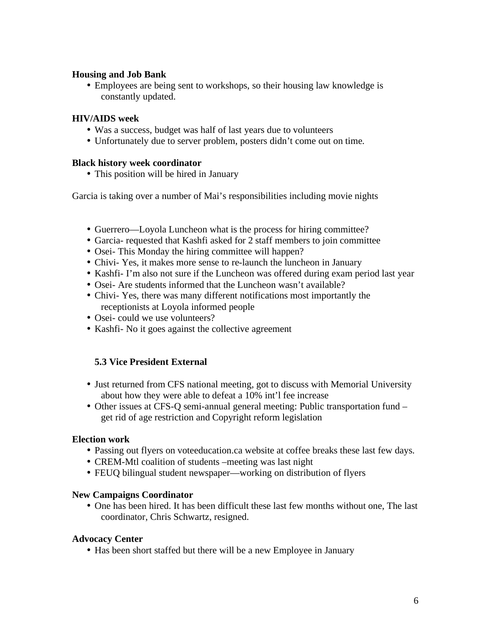#### **Housing and Job Bank**

• Employees are being sent to workshops, so their housing law knowledge is constantly updated.

## **HIV/AIDS week**

- Was a success, budget was half of last years due to volunteers
- Unfortunately due to server problem, posters didn't come out on time.

## **Black history week coordinator**

• This position will be hired in January

Garcia is taking over a number of Mai's responsibilities including movie nights

- Guerrero—Loyola Luncheon what is the process for hiring committee?
- Garcia- requested that Kashfi asked for 2 staff members to join committee
- Osei- This Monday the hiring committee will happen?
- Chivi- Yes, it makes more sense to re-launch the luncheon in January
- Kashfi- I'm also not sure if the Luncheon was offered during exam period last year
- Osei- Are students informed that the Luncheon wasn't available?
- Chivi- Yes, there was many different notifications most importantly the receptionists at Loyola informed people
- Osei- could we use volunteers?
- Kashfi- No it goes against the collective agreement

# **5.3 Vice President External**

- Just returned from CFS national meeting, got to discuss with Memorial University about how they were able to defeat a 10% int'l fee increase
- Other issues at CFS-Q semi-annual general meeting: Public transportation fund get rid of age restriction and Copyright reform legislation

#### **Election work**

- Passing out flyers on voteeducation.ca website at coffee breaks these last few days.
- CREM-Mtl coalition of students –meeting was last night
- FEUQ bilingual student newspaper—working on distribution of flyers

#### **New Campaigns Coordinator**

• One has been hired. It has been difficult these last few months without one, The last coordinator, Chris Schwartz, resigned.

#### **Advocacy Center**

• Has been short staffed but there will be a new Employee in January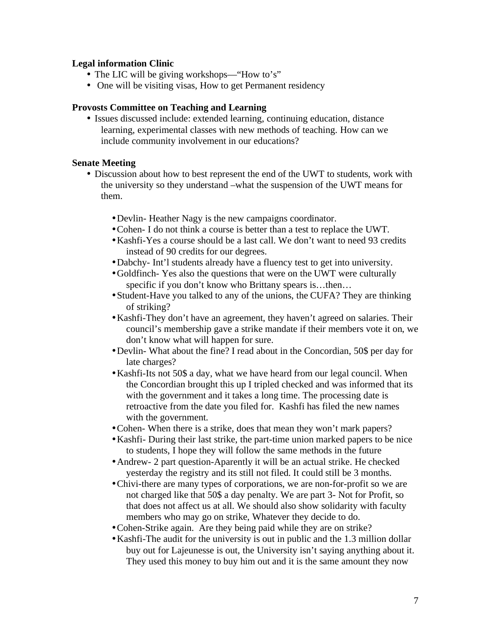#### **Legal information Clinic**

- The LIC will be giving workshops—"How to's"
- One will be visiting visas, How to get Permanent residency

#### **Provosts Committee on Teaching and Learning**

• Issues discussed include: extended learning, continuing education, distance learning, experimental classes with new methods of teaching. How can we include community involvement in our educations?

## **Senate Meeting**

- Discussion about how to best represent the end of the UWT to students, work with the university so they understand –what the suspension of the UWT means for them.
	- •Devlin- Heather Nagy is the new campaigns coordinator.
	- •Cohen- I do not think a course is better than a test to replace the UWT.
	- •Kashfi-Yes a course should be a last call. We don't want to need 93 credits instead of 90 credits for our degrees.
	- •Dabchy- Int'l students already have a fluency test to get into university.
	- •Goldfinch- Yes also the questions that were on the UWT were culturally specific if you don't know who Brittany spears is...then...
	- •Student-Have you talked to any of the unions, the CUFA? They are thinking of striking?
	- •Kashfi-They don't have an agreement, they haven't agreed on salaries. Their council's membership gave a strike mandate if their members vote it on, we don't know what will happen for sure.
	- •Devlin- What about the fine? I read about in the Concordian, 50\$ per day for late charges?
	- •Kashfi-Its not 50\$ a day, what we have heard from our legal council. When the Concordian brought this up I tripled checked and was informed that its with the government and it takes a long time. The processing date is retroactive from the date you filed for. Kashfi has filed the new names with the government.
	- •Cohen- When there is a strike, does that mean they won't mark papers?
	- •Kashfi- During their last strike, the part-time union marked papers to be nice to students, I hope they will follow the same methods in the future
	- •Andrew- 2 part question-Aparently it will be an actual strike. He checked yesterday the registry and its still not filed. It could still be 3 months.
	- •Chivi-there are many types of corporations, we are non-for-profit so we are not charged like that 50\$ a day penalty. We are part 3- Not for Profit, so that does not affect us at all. We should also show solidarity with faculty members who may go on strike, Whatever they decide to do.
	- •Cohen-Strike again. Are they being paid while they are on strike?
	- •Kashfi-The audit for the university is out in public and the 1.3 million dollar buy out for Lajeunesse is out, the University isn't saying anything about it. They used this money to buy him out and it is the same amount they now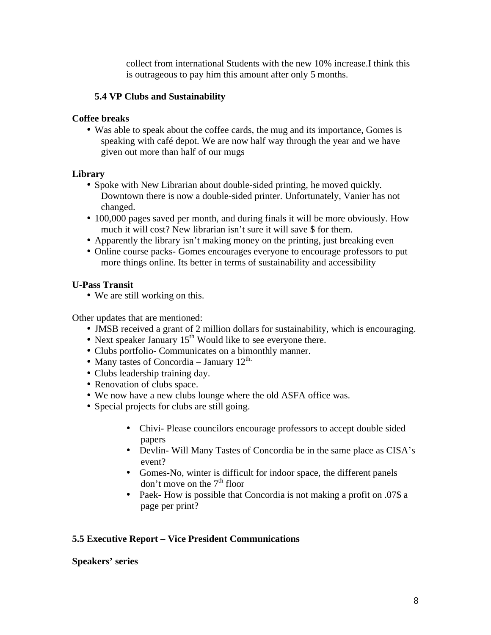collect from international Students with the new 10% increase.I think this is outrageous to pay him this amount after only 5 months.

## **5.4 VP Clubs and Sustainability**

## **Coffee breaks**

• Was able to speak about the coffee cards, the mug and its importance, Gomes is speaking with café depot. We are now half way through the year and we have given out more than half of our mugs

## **Library**

- Spoke with New Librarian about double-sided printing, he moved quickly. Downtown there is now a double-sided printer. Unfortunately, Vanier has not changed.
- 100,000 pages saved per month, and during finals it will be more obviously. How much it will cost? New librarian isn't sure it will save \$ for them.
- Apparently the library isn't making money on the printing, just breaking even
- Online course packs- Gomes encourages everyone to encourage professors to put more things online. Its better in terms of sustainability and accessibility

## **U-Pass Transit**

• We are still working on this.

Other updates that are mentioned:

- JMSB received a grant of 2 million dollars for sustainability, which is encouraging.
- Next speaker January  $15<sup>th</sup>$  Would like to see everyone there.
- Clubs portfolio- Communicates on a bimonthly manner.
- Many tastes of Concordia January  $12^{\text{th}}$ .
- Clubs leadership training day.
- Renovation of clubs space.
- We now have a new clubs lounge where the old ASFA office was.
- Special projects for clubs are still going.
	- Chivi- Please councilors encourage professors to accept double sided papers
	- Devlin- Will Many Tastes of Concordia be in the same place as CISA's event?
	- Gomes-No, winter is difficult for indoor space, the different panels don't move on the  $7<sup>th</sup>$  floor
	- Paek- How is possible that Concordia is not making a profit on .07\$ a page per print?

# **5.5 Executive Report – Vice President Communications**

#### **Speakers' series**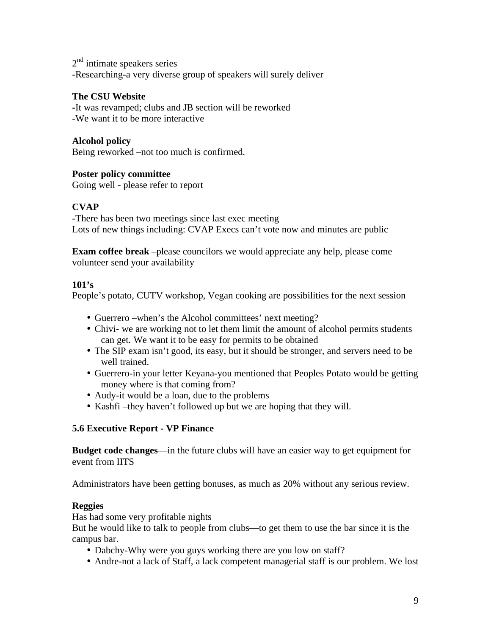2<sup>nd</sup> intimate speakers series -Researching-a very diverse group of speakers will surely deliver

## **The CSU Website**

**-**It was revamped; clubs and JB section will be reworked -We want it to be more interactive

## **Alcohol policy**

Being reworked –not too much is confirmed.

## **Poster policy committee**

Going well - please refer to report

# **CVAP**

-There has been two meetings since last exec meeting Lots of new things including: CVAP Execs can't vote now and minutes are public

**Exam coffee break** –please councilors we would appreciate any help, please come volunteer send your availability

#### **101's**

People's potato, CUTV workshop, Vegan cooking are possibilities for the next session

- Guerrero –when's the Alcohol committees' next meeting?
- Chivi- we are working not to let them limit the amount of alcohol permits students can get. We want it to be easy for permits to be obtained
- The SIP exam isn't good, its easy, but it should be stronger, and servers need to be well trained.
- Guerrero-in your letter Keyana-you mentioned that Peoples Potato would be getting money where is that coming from?
- Audy-it would be a loan, due to the problems
- Kashfi –they haven't followed up but we are hoping that they will.

# **5.6 Executive Report - VP Finance**

**Budget code changes**—in the future clubs will have an easier way to get equipment for event from IITS

Administrators have been getting bonuses, as much as 20% without any serious review.

#### **Reggies**

Has had some very profitable nights

But he would like to talk to people from clubs—to get them to use the bar since it is the campus bar.

- Dabchy-Why were you guys working there are you low on staff?
- Andre-not a lack of Staff, a lack competent managerial staff is our problem. We lost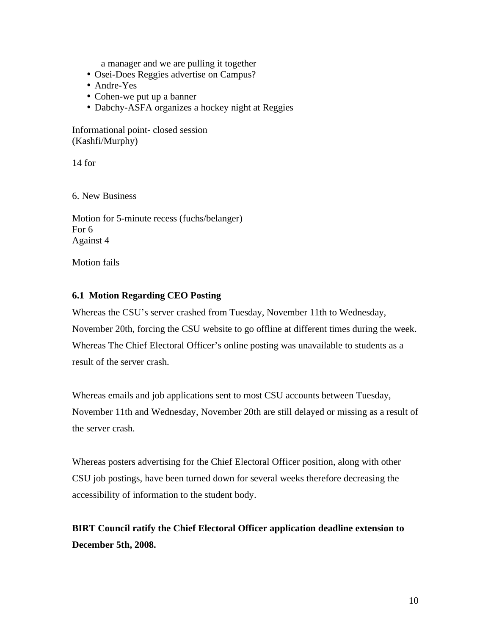a manager and we are pulling it together

- Osei-Does Reggies advertise on Campus?
- Andre-Yes
- Cohen-we put up a banner
- Dabchy-ASFA organizes a hockey night at Reggies

Informational point- closed session (Kashfi/Murphy)

14 for

6. New Business

Motion for 5-minute recess (fuchs/belanger) For 6 Against 4

Motion fails

## **6.1 Motion Regarding CEO Posting**

Whereas the CSU's server crashed from Tuesday, November 11th to Wednesday, November 20th, forcing the CSU website to go offline at different times during the week. Whereas The Chief Electoral Officer's online posting was unavailable to students as a result of the server crash.

Whereas emails and job applications sent to most CSU accounts between Tuesday, November 11th and Wednesday, November 20th are still delayed or missing as a result of the server crash.

Whereas posters advertising for the Chief Electoral Officer position, along with other CSU job postings, have been turned down for several weeks therefore decreasing the accessibility of information to the student body.

**BIRT Council ratify the Chief Electoral Officer application deadline extension to December 5th, 2008.**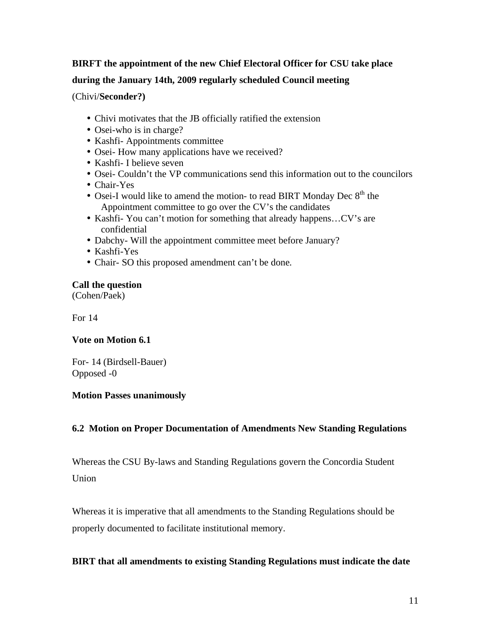# **BIRFT the appointment of the new Chief Electoral Officer for CSU take place during the January 14th, 2009 regularly scheduled Council meeting**

(Chivi/**Seconder?)**

- Chivi motivates that the JB officially ratified the extension
- Osei-who is in charge?
- Kashfi- Appointments committee
- Osei- How many applications have we received?
- Kashfi- I believe seven
- Osei- Couldn't the VP communications send this information out to the councilors
- Chair-Yes
- Osei-I would like to amend the motion- to read BIRT Monday Dec  $8<sup>th</sup>$  the Appointment committee to go over the CV's the candidates
- Kashfi- You can't motion for something that already happens...CV's are confidential
- Dabchy- Will the appointment committee meet before January?
- Kashfi-Yes
- Chair- SO this proposed amendment can't be done.

# **Call the question**

(Cohen/Paek)

For 14

# **Vote on Motion 6.1**

For- 14 (Birdsell-Bauer) Opposed -0

#### **Motion Passes unanimously**

# **6.2 Motion on Proper Documentation of Amendments New Standing Regulations**

Whereas the CSU By-laws and Standing Regulations govern the Concordia Student Union

Whereas it is imperative that all amendments to the Standing Regulations should be properly documented to facilitate institutional memory.

# **BIRT that all amendments to existing Standing Regulations must indicate the date**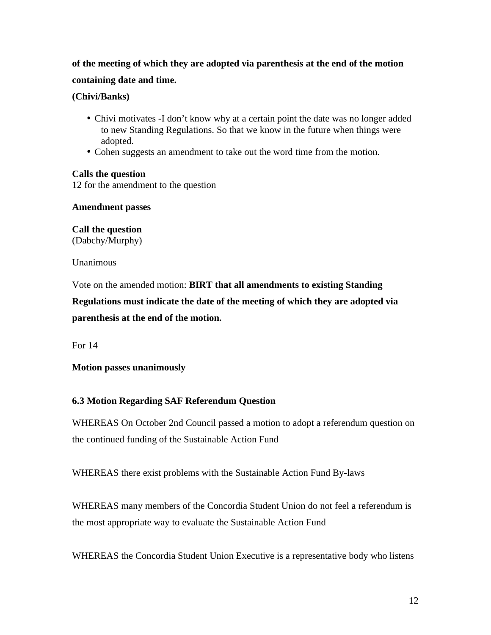# **of the meeting of which they are adopted via parenthesis at the end of the motion containing date and time.**

## **(Chivi/Banks)**

- Chivi motivates -I don't know why at a certain point the date was no longer added to new Standing Regulations. So that we know in the future when things were adopted.
- Cohen suggests an amendment to take out the word time from the motion.

## **Calls the question**

12 for the amendment to the question

**Amendment passes** 

**Call the question**  (Dabchy/Murphy)

Unanimous

Vote on the amended motion: **BIRT that all amendments to existing Standing** 

**Regulations must indicate the date of the meeting of which they are adopted via parenthesis at the end of the motion.**

For 14

# **Motion passes unanimously**

# **6.3 Motion Regarding SAF Referendum Question**

WHEREAS On October 2nd Council passed a motion to adopt a referendum question on the continued funding of the Sustainable Action Fund

WHEREAS there exist problems with the Sustainable Action Fund By-laws

WHEREAS many members of the Concordia Student Union do not feel a referendum is the most appropriate way to evaluate the Sustainable Action Fund

WHEREAS the Concordia Student Union Executive is a representative body who listens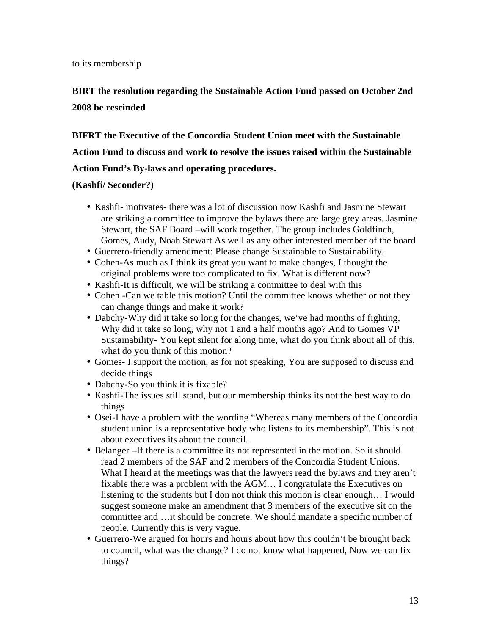to its membership

**BIRT the resolution regarding the Sustainable Action Fund passed on October 2nd 2008 be rescinded** 

**BIFRT the Executive of the Concordia Student Union meet with the Sustainable Action Fund to discuss and work to resolve the issues raised within the Sustainable Action Fund's By-laws and operating procedures.** 

# **(Kashfi/ Seconder?)**

- Kashfi- motivates- there was a lot of discussion now Kashfi and Jasmine Stewart are striking a committee to improve the bylaws there are large grey areas. Jasmine Stewart, the SAF Board –will work together. The group includes Goldfinch, Gomes, Audy, Noah Stewart As well as any other interested member of the board
- Guerrero-friendly amendment: Please change Sustainable to Sustainability.
- Cohen-As much as I think its great you want to make changes, I thought the original problems were too complicated to fix. What is different now?
- Kashfi-It is difficult, we will be striking a committee to deal with this
- Cohen -Can we table this motion? Until the committee knows whether or not they can change things and make it work?
- Dabchy-Why did it take so long for the changes, we've had months of fighting, Why did it take so long, why not 1 and a half months ago? And to Gomes VP Sustainability- You kept silent for along time, what do you think about all of this, what do you think of this motion?
- Gomes- I support the motion, as for not speaking, You are supposed to discuss and decide things
- Dabchy-So you think it is fixable?
- Kashfi-The issues still stand, but our membership thinks its not the best way to do things
- Osei-I have a problem with the wording "Whereas many members of the Concordia student union is a representative body who listens to its membership". This is not about executives its about the council.
- Belanger –If there is a committee its not represented in the motion. So it should read 2 members of the SAF and 2 members of the Concordia Student Unions. What I heard at the meetings was that the lawyers read the bylaws and they aren't fixable there was a problem with the AGM… I congratulate the Executives on listening to the students but I don not think this motion is clear enough… I would suggest someone make an amendment that 3 members of the executive sit on the committee and …it should be concrete. We should mandate a specific number of people. Currently this is very vague.
- Guerrero-We argued for hours and hours about how this couldn't be brought back to council, what was the change? I do not know what happened, Now we can fix things?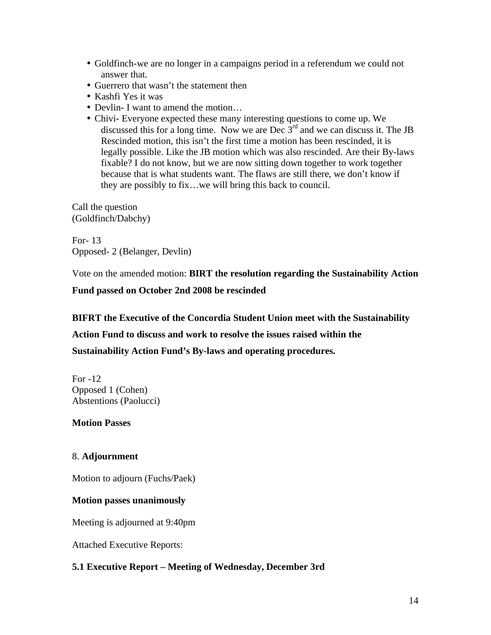- Goldfinch-we are no longer in a campaigns period in a referendum we could not answer that.
- Guerrero that wasn't the statement then
- Kashfi Yes it was
- Devlin- I want to amend the motion...
- Chivi- Everyone expected these many interesting questions to come up. We discussed this for a long time. Now we are Dec  $3<sup>rd</sup>$  and we can discuss it. The JB Rescinded motion, this isn't the first time a motion has been rescinded, it is legally possible. Like the JB motion which was also rescinded. Are their By-laws fixable? I do not know, but we are now sitting down together to work together because that is what students want. The flaws are still there, we don't know if they are possibly to fix…we will bring this back to council.

Call the question (Goldfinch/Dabchy)

For- 13 Opposed- 2 (Belanger, Devlin)

Vote on the amended motion: **BIRT the resolution regarding the Sustainability Action** 

**Fund passed on October 2nd 2008 be rescinded** 

#### **BIFRT the Executive of the Concordia Student Union meet with the Sustainability**

**Action Fund to discuss and work to resolve the issues raised within the** 

**Sustainability Action Fund's By-laws and operating procedures.** 

For -12 Opposed 1 (Cohen) Abstentions (Paolucci)

#### **Motion Passes**

# 8. **Adjournment**

Motion to adjourn (Fuchs/Paek)

#### **Motion passes unanimously**

Meeting is adjourned at 9:40pm

Attached Executive Reports:

# **5.1 Executive Report – Meeting of Wednesday, December 3rd**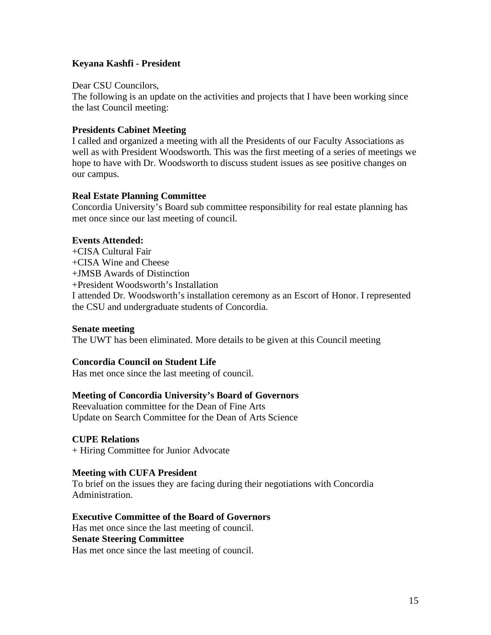## **Keyana Kashfi - President**

Dear CSU Councilors,

The following is an update on the activities and projects that I have been working since the last Council meeting:

#### **Presidents Cabinet Meeting**

I called and organized a meeting with all the Presidents of our Faculty Associations as well as with President Woodsworth. This was the first meeting of a series of meetings we hope to have with Dr. Woodsworth to discuss student issues as see positive changes on our campus.

## **Real Estate Planning Committee**

Concordia University's Board sub committee responsibility for real estate planning has met once since our last meeting of council.

#### **Events Attended:**

- +CISA Cultural Fair
- +CISA Wine and Cheese
- +JMSB Awards of Distinction

+President Woodsworth's Installation

I attended Dr. Woodsworth's installation ceremony as an Escort of Honor. I represented the CSU and undergraduate students of Concordia.

#### **Senate meeting**

The UWT has been eliminated. More details to be given at this Council meeting

#### **Concordia Council on Student Life**

Has met once since the last meeting of council.

#### **Meeting of Concordia University's Board of Governors**

Reevaluation committee for the Dean of Fine Arts Update on Search Committee for the Dean of Arts Science

#### **CUPE Relations**

+ Hiring Committee for Junior Advocate

#### **Meeting with CUFA President**

To brief on the issues they are facing during their negotiations with Concordia Administration.

#### **Executive Committee of the Board of Governors**

Has met once since the last meeting of council. **Senate Steering Committee** 

Has met once since the last meeting of council.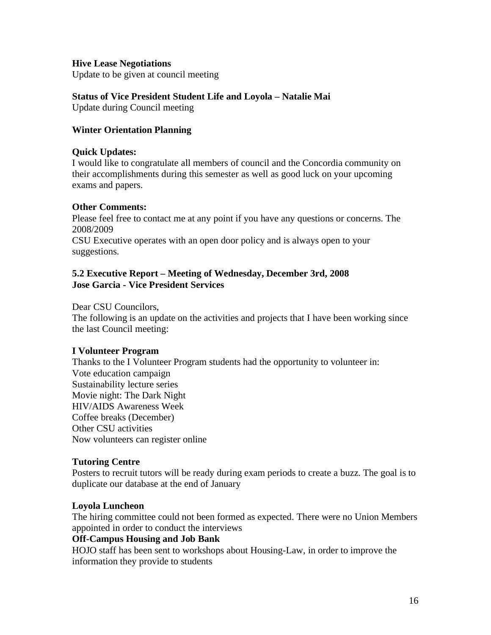#### **Hive Lease Negotiations**

Update to be given at council meeting

#### **Status of Vice President Student Life and Loyola – Natalie Mai**

Update during Council meeting

## **Winter Orientation Planning**

#### **Quick Updates:**

I would like to congratulate all members of council and the Concordia community on their accomplishments during this semester as well as good luck on your upcoming exams and papers.

## **Other Comments:**

Please feel free to contact me at any point if you have any questions or concerns. The 2008/2009

CSU Executive operates with an open door policy and is always open to your suggestions.

## **5.2 Executive Report – Meeting of Wednesday, December 3rd, 2008 Jose Garcia - Vice President Services**

Dear CSU Councilors,

The following is an update on the activities and projects that I have been working since the last Council meeting:

#### **I Volunteer Program**

Thanks to the I Volunteer Program students had the opportunity to volunteer in: Vote education campaign Sustainability lecture series Movie night: The Dark Night HIV/AIDS Awareness Week Coffee breaks (December) Other CSU activities Now volunteers can register online

#### **Tutoring Centre**

Posters to recruit tutors will be ready during exam periods to create a buzz. The goal is to duplicate our database at the end of January

#### **Loyola Luncheon**

The hiring committee could not been formed as expected. There were no Union Members appointed in order to conduct the interviews

# **Off-Campus Housing and Job Bank**

HOJO staff has been sent to workshops about Housing-Law, in order to improve the information they provide to students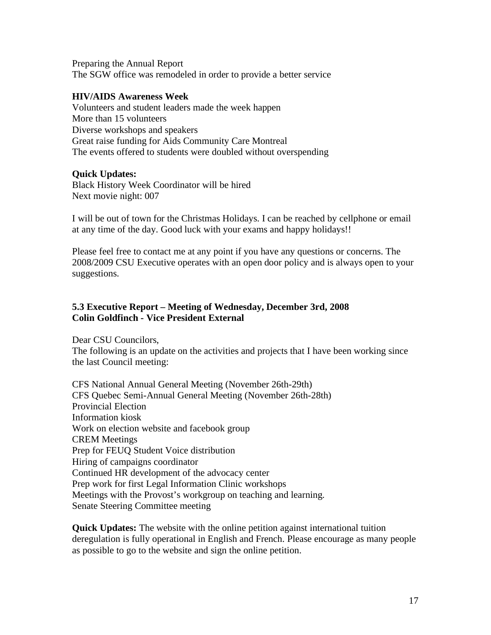Preparing the Annual Report The SGW office was remodeled in order to provide a better service

#### **HIV/AIDS Awareness Week**

Volunteers and student leaders made the week happen More than 15 volunteers Diverse workshops and speakers Great raise funding for Aids Community Care Montreal The events offered to students were doubled without overspending

## **Quick Updates:**

Black History Week Coordinator will be hired Next movie night: 007

I will be out of town for the Christmas Holidays. I can be reached by cellphone or email at any time of the day. Good luck with your exams and happy holidays!!

Please feel free to contact me at any point if you have any questions or concerns. The 2008/2009 CSU Executive operates with an open door policy and is always open to your suggestions.

# **5.3 Executive Report – Meeting of Wednesday, December 3rd, 2008 Colin Goldfinch - Vice President External**

Dear CSU Councilors, The following is an update on the activities and projects that I have been working since the last Council meeting:

CFS National Annual General Meeting (November 26th-29th) CFS Quebec Semi-Annual General Meeting (November 26th-28th) Provincial Election Information kiosk Work on election website and facebook group CREM Meetings Prep for FEUQ Student Voice distribution Hiring of campaigns coordinator Continued HR development of the advocacy center Prep work for first Legal Information Clinic workshops Meetings with the Provost's workgroup on teaching and learning. Senate Steering Committee meeting

**Quick Updates:** The website with the online petition against international tuition deregulation is fully operational in English and French. Please encourage as many people as possible to go to the website and sign the online petition.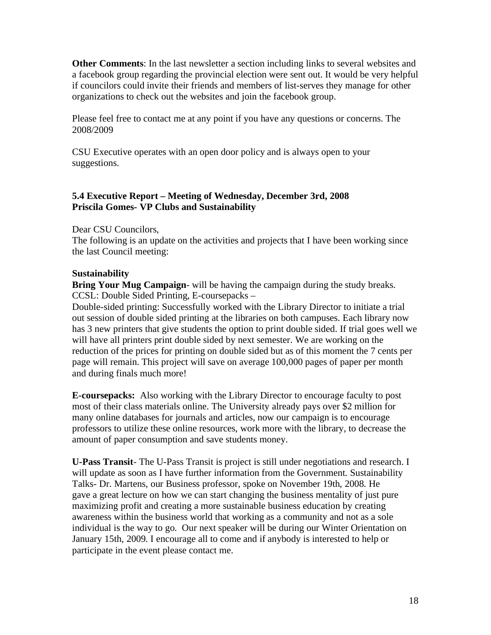**Other Comments**: In the last newsletter a section including links to several websites and a facebook group regarding the provincial election were sent out. It would be very helpful if councilors could invite their friends and members of list-serves they manage for other organizations to check out the websites and join the facebook group.

Please feel free to contact me at any point if you have any questions or concerns. The 2008/2009

CSU Executive operates with an open door policy and is always open to your suggestions.

## **5.4 Executive Report – Meeting of Wednesday, December 3rd, 2008 Priscila Gomes- VP Clubs and Sustainability**

## Dear CSU Councilors,

The following is an update on the activities and projects that I have been working since the last Council meeting:

## **Sustainability**

**Bring Your Mug Campaign**- will be having the campaign during the study breaks. CCSL: Double Sided Printing, E-coursepacks –

Double-sided printing: Successfully worked with the Library Director to initiate a trial out session of double sided printing at the libraries on both campuses. Each library now has 3 new printers that give students the option to print double sided. If trial goes well we will have all printers print double sided by next semester. We are working on the reduction of the prices for printing on double sided but as of this moment the 7 cents per page will remain. This project will save on average 100,000 pages of paper per month and during finals much more!

**E-coursepacks:** Also working with the Library Director to encourage faculty to post most of their class materials online. The University already pays over \$2 million for many online databases for journals and articles, now our campaign is to encourage professors to utilize these online resources, work more with the library, to decrease the amount of paper consumption and save students money.

**U-Pass Transit**- The U-Pass Transit is project is still under negotiations and research. I will update as soon as I have further information from the Government. Sustainability Talks- Dr. Martens, our Business professor, spoke on November 19th, 2008. He gave a great lecture on how we can start changing the business mentality of just pure maximizing profit and creating a more sustainable business education by creating awareness within the business world that working as a community and not as a sole individual is the way to go. Our next speaker will be during our Winter Orientation on January 15th, 2009. I encourage all to come and if anybody is interested to help or participate in the event please contact me.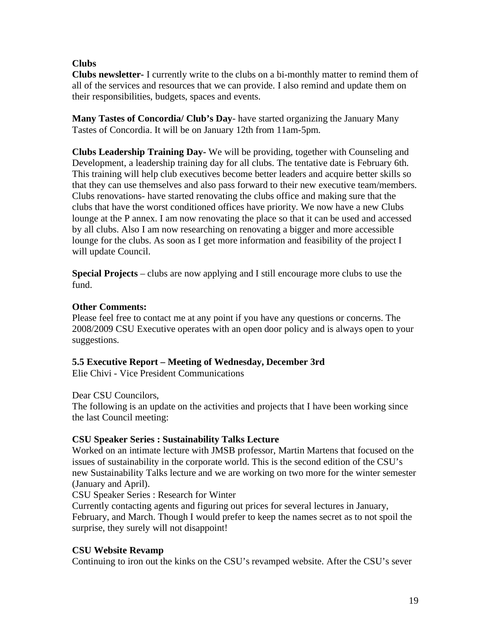# **Clubs**

**Clubs newsletter-** I currently write to the clubs on a bi-monthly matter to remind them of all of the services and resources that we can provide. I also remind and update them on their responsibilities, budgets, spaces and events.

**Many Tastes of Concordia/ Club's Day**- have started organizing the January Many Tastes of Concordia. It will be on January 12th from 11am-5pm.

**Clubs Leadership Training Day-** We will be providing, together with Counseling and Development, a leadership training day for all clubs. The tentative date is February 6th. This training will help club executives become better leaders and acquire better skills so that they can use themselves and also pass forward to their new executive team/members. Clubs renovations- have started renovating the clubs office and making sure that the clubs that have the worst conditioned offices have priority. We now have a new Clubs lounge at the P annex. I am now renovating the place so that it can be used and accessed by all clubs. Also I am now researching on renovating a bigger and more accessible lounge for the clubs. As soon as I get more information and feasibility of the project I will update Council.

**Special Projects** – clubs are now applying and I still encourage more clubs to use the fund.

# **Other Comments:**

Please feel free to contact me at any point if you have any questions or concerns. The 2008/2009 CSU Executive operates with an open door policy and is always open to your suggestions.

# **5.5 Executive Report – Meeting of Wednesday, December 3rd**

Elie Chivi - Vice President Communications

# Dear CSU Councilors,

The following is an update on the activities and projects that I have been working since the last Council meeting:

# **CSU Speaker Series : Sustainability Talks Lecture**

Worked on an intimate lecture with JMSB professor, Martin Martens that focused on the issues of sustainability in the corporate world. This is the second edition of the CSU's new Sustainability Talks lecture and we are working on two more for the winter semester (January and April).

CSU Speaker Series : Research for Winter

Currently contacting agents and figuring out prices for several lectures in January, February, and March. Though I would prefer to keep the names secret as to not spoil the surprise, they surely will not disappoint!

# **CSU Website Revamp**

Continuing to iron out the kinks on the CSU's revamped website. After the CSU's sever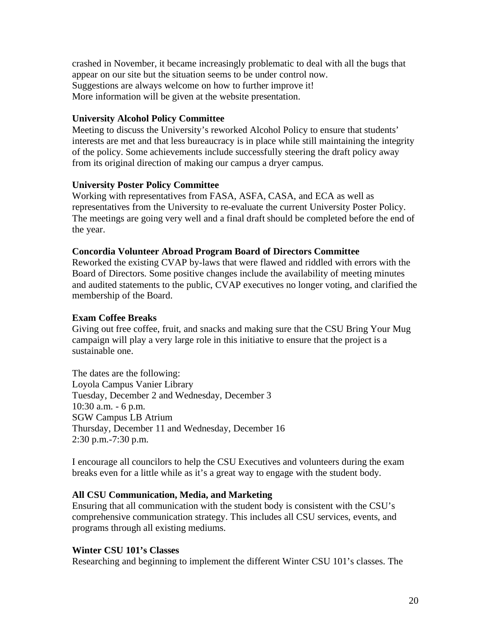crashed in November, it became increasingly problematic to deal with all the bugs that appear on our site but the situation seems to be under control now. Suggestions are always welcome on how to further improve it! More information will be given at the website presentation.

#### **University Alcohol Policy Committee**

Meeting to discuss the University's reworked Alcohol Policy to ensure that students' interests are met and that less bureaucracy is in place while still maintaining the integrity of the policy. Some achievements include successfully steering the draft policy away from its original direction of making our campus a dryer campus.

#### **University Poster Policy Committee**

Working with representatives from FASA, ASFA, CASA, and ECA as well as representatives from the University to re-evaluate the current University Poster Policy. The meetings are going very well and a final draft should be completed before the end of the year.

#### **Concordia Volunteer Abroad Program Board of Directors Committee**

Reworked the existing CVAP by-laws that were flawed and riddled with errors with the Board of Directors. Some positive changes include the availability of meeting minutes and audited statements to the public, CVAP executives no longer voting, and clarified the membership of the Board.

#### **Exam Coffee Breaks**

Giving out free coffee, fruit, and snacks and making sure that the CSU Bring Your Mug campaign will play a very large role in this initiative to ensure that the project is a sustainable one.

The dates are the following: Loyola Campus Vanier Library Tuesday, December 2 and Wednesday, December 3 10:30 a.m. - 6 p.m. SGW Campus LB Atrium Thursday, December 11 and Wednesday, December 16 2:30 p.m.-7:30 p.m.

I encourage all councilors to help the CSU Executives and volunteers during the exam breaks even for a little while as it's a great way to engage with the student body.

#### **All CSU Communication, Media, and Marketing**

Ensuring that all communication with the student body is consistent with the CSU's comprehensive communication strategy. This includes all CSU services, events, and programs through all existing mediums.

#### **Winter CSU 101's Classes**

Researching and beginning to implement the different Winter CSU 101's classes. The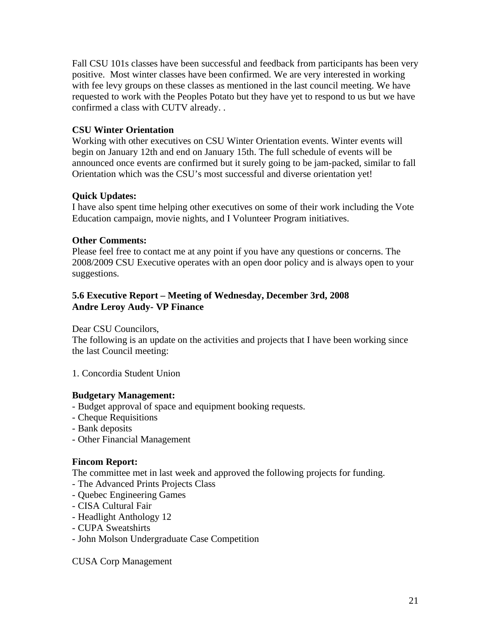Fall CSU 101s classes have been successful and feedback from participants has been very positive. Most winter classes have been confirmed. We are very interested in working with fee levy groups on these classes as mentioned in the last council meeting. We have requested to work with the Peoples Potato but they have yet to respond to us but we have confirmed a class with CUTV already. .

## **CSU Winter Orientation**

Working with other executives on CSU Winter Orientation events. Winter events will begin on January 12th and end on January 15th. The full schedule of events will be announced once events are confirmed but it surely going to be jam-packed, similar to fall Orientation which was the CSU's most successful and diverse orientation yet!

## **Quick Updates:**

I have also spent time helping other executives on some of their work including the Vote Education campaign, movie nights, and I Volunteer Program initiatives.

#### **Other Comments:**

Please feel free to contact me at any point if you have any questions or concerns. The 2008/2009 CSU Executive operates with an open door policy and is always open to your suggestions.

## **5.6 Executive Report – Meeting of Wednesday, December 3rd, 2008 Andre Leroy Audy- VP Finance**

Dear CSU Councilors,

The following is an update on the activities and projects that I have been working since the last Council meeting:

1. Concordia Student Union

#### **Budgetary Management:**

- Budget approval of space and equipment booking requests.
- Cheque Requisitions
- Bank deposits
- Other Financial Management

#### **Fincom Report:**

The committee met in last week and approved the following projects for funding.

- The Advanced Prints Projects Class
- Quebec Engineering Games
- CISA Cultural Fair
- Headlight Anthology 12
- CUPA Sweatshirts
- John Molson Undergraduate Case Competition

CUSA Corp Management